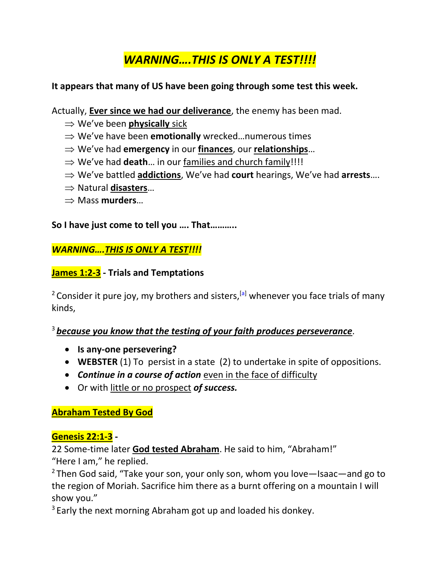# *WARNING….THIS IS ONLY A TEST!!!!*

#### **It appears that many of US have been going through some test this week.**

Actually, **Ever since we had our deliverance**, the enemy has been mad.

- We've been **physically** sick
- ⇒ We've have been **emotionally** wrecked...numerous times
- We've had **emergency** in our **finances**, our **relationships**…
- $\Rightarrow$  We've had **death**... in our families and church family!!!!
- We've battled **addictions**, We've had **court** hearings, We've had **arrests**….
- Natural **disasters**…
- Mass **murders**…

**So I have just come to tell you …. That………..**

#### *WARNING….THIS IS ONLY A TEST!!!!*

#### **James 1:2-3 - Trials and Temptations**

<sup>2</sup> Consider it pure joy, my brothers and sisters,  $^{[a]}$  $^{[a]}$  $^{[a]}$  whenever you face trials of many kinds,

#### <sup>3</sup> *because you know that the testing of your faith produces perseverance*.

- **Is any-one persevering?**
- **WEBSTER** (1) To persist in a state (2) to undertake in spite of oppositions.
- *Continue in a course of action* even in the face of difficulty
- Or with little or no prospect *of success.*

**Abraham Tested By God**

### **Genesis 22:1-3 -**

22 Some-time later **God tested Abraham**. He said to him, "Abraham!"

"Here I am," he replied.

<sup>2</sup> Then God said, "Take your son, your only son, whom you love—Isaac—and go to the region of Moriah. Sacrifice him there as a burnt offering on a mountain I will show you."

 $3$  Early the next morning Abraham got up and loaded his donkey.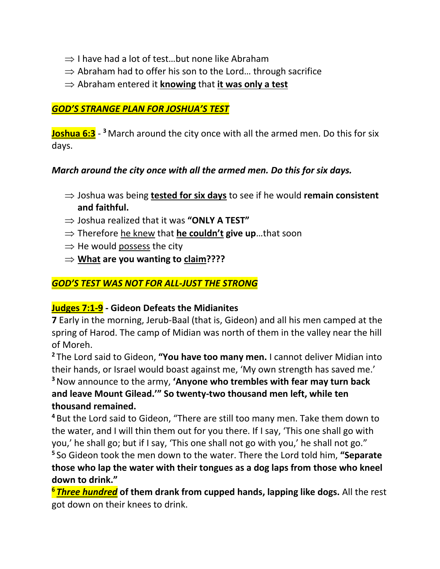- $\Rightarrow$  I have had a lot of test...but none like Abraham
- $\Rightarrow$  Abraham had to offer his son to the Lord... through sacrifice
- $\Rightarrow$  Abraham entered it **knowing** that **it was only a test**

## *GOD'S STRANGE PLAN FOR JOSHUA'S TEST*

**Joshua 6:3** - **<sup>3</sup>** March around the city once with all the armed men. Do this for six days.

### *March around the city once with all the armed men. Do this for six days.*

- ⇒ Joshua was being **tested for six days** to see if he would **remain consistent and faithful.**
- $\Rightarrow$  Joshua realized that it was "ONLY A TEST"
- ⇒ Therefore he knew that **he couldn't give up**…that soon
- $\Rightarrow$  He would possess the city
- **What are you wanting to claim????**

## *GOD'S TEST WAS NOT FOR ALL-JUST THE STRONG*

### **Judges 7:1-9 - Gideon Defeats the Midianites**

**7** Early in the morning, Jerub-Baal (that is, Gideon) and all his men camped at the spring of Harod. The camp of Midian was north of them in the valley near the hill of Moreh.

**<sup>2</sup>** The Lord said to Gideon, **"You have too many men.** I cannot deliver Midian into their hands, or Israel would boast against me, 'My own strength has saved me.' **<sup>3</sup>**Now announce to the army, **'Anyone who trembles with fear may turn back and leave Mount Gilead.'" So twenty-two thousand men left, while ten thousand remained.**

**<sup>4</sup>** But the Lord said to Gideon, "There are still too many men. Take them down to the water, and I will thin them out for you there. If I say, 'This one shall go with you,' he shall go; but if I say, 'This one shall not go with you,' he shall not go." **5** So Gideon took the men down to the water. There the Lord told him, **"Separate** 

**those who lap the water with their tongues as a dog laps from those who kneel down to drink."**

**<sup>6</sup>** *Three hundred* **of them drank from cupped hands, lapping like dogs.** All the rest got down on their knees to drink.